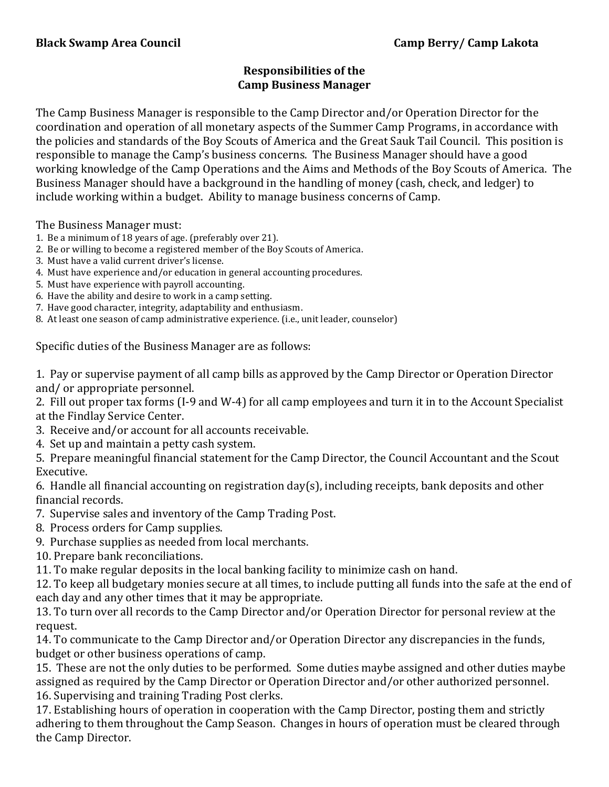## **Responsibilities of the Camp Business Manager**

The Camp Business Manager is responsible to the Camp Director and/or Operation Director for the coordination and operation of all monetary aspects of the Summer Camp Programs, in accordance with the policies and standards of the Boy Scouts of America and the Great Sauk Tail Council. This position is responsible to manage the Camp's business concerns. The Business Manager should have a good working knowledge of the Camp Operations and the Aims and Methods of the Boy Scouts of America. The Business Manager should have a background in the handling of money (cash, check, and ledger) to include working within a budget. Ability to manage business concerns of Camp.

The Business Manager must:

- 1. Be a minimum of 18 years of age. (preferably over 21).
- 2. Be or willing to become a registered member of the Boy Scouts of America.
- 3. Must have a valid current driver's license.
- 4. Must have experience and/or education in general accounting procedures.
- 5. Must have experience with payroll accounting.
- 6. Have the ability and desire to work in a camp setting.
- 7. Have good character, integrity, adaptability and enthusiasm.
- 8. At least one season of camp administrative experience. (i.e., unit leader, counselor)

Specific duties of the Business Manager are as follows:

1. Pay or supervise payment of all camp bills as approved by the Camp Director or Operation Director and/ or appropriate personnel.

2. Fill out proper tax forms (I-9 and W-4) for all camp employees and turn it in to the Account Specialist at the Findlay Service Center.

- 3. Receive and/or account for all accounts receivable.
- 4. Set up and maintain a petty cash system.

5. Prepare meaningful financial statement for the Camp Director, the Council Accountant and the Scout Executive.

6. Handle all financial accounting on registration day(s), including receipts, bank deposits and other financial records.

- 7. Supervise sales and inventory of the Camp Trading Post.
- 8. Process orders for Camp supplies.
- 9. Purchase supplies as needed from local merchants.
- 10. Prepare bank reconciliations.

11. To make regular deposits in the local banking facility to minimize cash on hand.

12. To keep all budgetary monies secure at all times, to include putting all funds into the safe at the end of each day and any other times that it may be appropriate.

13. To turn over all records to the Camp Director and/or Operation Director for personal review at the request.

14. To communicate to the Camp Director and/or Operation Director any discrepancies in the funds, budget or other business operations of camp.

15. These are not the only duties to be performed. Some duties maybe assigned and other duties maybe assigned as required by the Camp Director or Operation Director and/or other authorized personnel. 16. Supervising and training Trading Post clerks.

17. Establishing hours of operation in cooperation with the Camp Director, posting them and strictly adhering to them throughout the Camp Season. Changes in hours of operation must be cleared through the Camp Director.